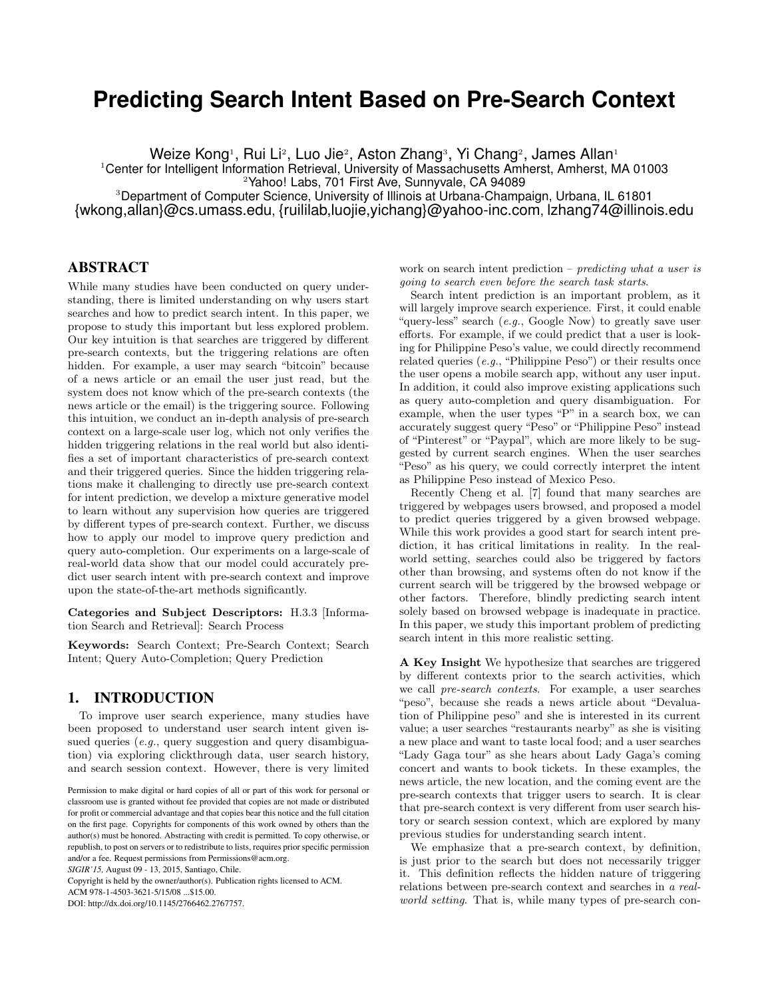# **Predicting Search Intent Based on Pre-Search Context**

Weize Kong1, Rui Li2, Luo Jie2, Aston Zhang3, Yi Chang2, James Allan1

<sup>1</sup>Center for Intelligent Information Retrieval, University of Massachusetts Amherst, Amherst, MA 01003

<sup>2</sup>Yahoo! Labs, 701 First Ave, Sunnyvale, CA 94089

<sup>3</sup>Department of Computer Science, University of Illinois at Urbana-Champaign, Urbana, IL 61801 {wkong,allan}@cs.umass.edu, {ruililab,luojie,yichang}@yahoo-inc.com, lzhang74@illinois.edu

# ABSTRACT

While many studies have been conducted on query understanding, there is limited understanding on why users start searches and how to predict search intent. In this paper, we propose to study this important but less explored problem. Our key intuition is that searches are triggered by different pre-search contexts, but the triggering relations are often hidden. For example, a user may search "bitcoin" because of a news article or an email the user just read, but the system does not know which of the pre-search contexts (the news article or the email) is the triggering source. Following this intuition, we conduct an in-depth analysis of pre-search context on a large-scale user log, which not only verifies the hidden triggering relations in the real world but also identifies a set of important characteristics of pre-search context and their triggered queries. Since the hidden triggering relations make it challenging to directly use pre-search context for intent prediction, we develop a mixture generative model to learn without any supervision how queries are triggered by different types of pre-search context. Further, we discuss how to apply our model to improve query prediction and query auto-completion. Our experiments on a large-scale of real-world data show that our model could accurately predict user search intent with pre-search context and improve upon the state-of-the-art methods significantly.

Categories and Subject Descriptors: H.3.3 [Information Search and Retrieval]: Search Process

Keywords: Search Context; Pre-Search Context; Search Intent; Query Auto-Completion; Query Prediction

## 1. INTRODUCTION

To improve user search experience, many studies have been proposed to understand user search intent given issued queries (e.g., query suggestion and query disambiguation) via exploring clickthrough data, user search history, and search session context. However, there is very limited

*SIGIR'15,* August 09 - 13, 2015, Santiago, Chile.

Copyright is held by the owner/author(s). Publication rights licensed to ACM.

ACM 978-1-4503-3621-5/15/08 ...\$15.00.

DOI: http://dx.doi.org/10.1145/2766462.2767757.

work on search intent prediction – *predicting what a user is* going to search even before the search task starts.

Search intent prediction is an important problem, as it will largely improve search experience. First, it could enable "query-less" search (e.g., Google Now) to greatly save user efforts. For example, if we could predict that a user is looking for Philippine Peso's value, we could directly recommend related queries (e.g., "Philippine Peso") or their results once the user opens a mobile search app, without any user input. In addition, it could also improve existing applications such as query auto-completion and query disambiguation. For example, when the user types "P" in a search box, we can accurately suggest query "Peso" or "Philippine Peso" instead of "Pinterest" or "Paypal", which are more likely to be suggested by current search engines. When the user searches "Peso" as his query, we could correctly interpret the intent as Philippine Peso instead of Mexico Peso.

Recently Cheng et al. [7] found that many searches are triggered by webpages users browsed, and proposed a model to predict queries triggered by a given browsed webpage. While this work provides a good start for search intent prediction, it has critical limitations in reality. In the realworld setting, searches could also be triggered by factors other than browsing, and systems often do not know if the current search will be triggered by the browsed webpage or other factors. Therefore, blindly predicting search intent solely based on browsed webpage is inadequate in practice. In this paper, we study this important problem of predicting search intent in this more realistic setting.

A Key Insight We hypothesize that searches are triggered by different contexts prior to the search activities, which we call pre-search contexts. For example, a user searches "peso", because she reads a news article about "Devaluation of Philippine peso" and she is interested in its current value; a user searches "restaurants nearby" as she is visiting a new place and want to taste local food; and a user searches "Lady Gaga tour" as she hears about Lady Gaga's coming concert and wants to book tickets. In these examples, the news article, the new location, and the coming event are the pre-search contexts that trigger users to search. It is clear that pre-search context is very different from user search history or search session context, which are explored by many previous studies for understanding search intent.

We emphasize that a pre-search context, by definition, is just prior to the search but does not necessarily trigger it. This definition reflects the hidden nature of triggering relations between pre-search context and searches in a realworld setting. That is, while many types of pre-search con-

Permission to make digital or hard copies of all or part of this work for personal or classroom use is granted without fee provided that copies are not made or distributed for profit or commercial advantage and that copies bear this notice and the full citation on the first page. Copyrights for components of this work owned by others than the author(s) must be honored. Abstracting with credit is permitted. To copy otherwise, or republish, to post on servers or to redistribute to lists, requires prior specific permission and/or a fee. Request permissions from Permissions@acm.org.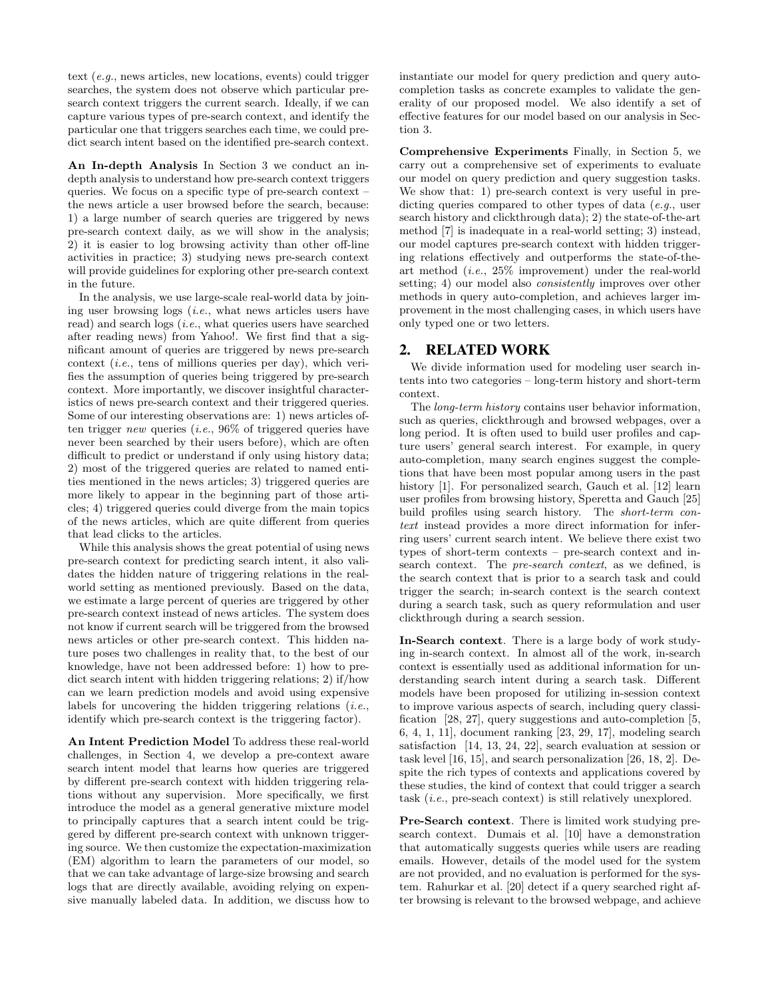text (e.g., news articles, new locations, events) could trigger searches, the system does not observe which particular presearch context triggers the current search. Ideally, if we can capture various types of pre-search context, and identify the particular one that triggers searches each time, we could predict search intent based on the identified pre-search context.

An In-depth Analysis In Section 3 we conduct an indepth analysis to understand how pre-search context triggers queries. We focus on a specific type of pre-search context – the news article a user browsed before the search, because: 1) a large number of search queries are triggered by news pre-search context daily, as we will show in the analysis; 2) it is easier to log browsing activity than other off-line activities in practice; 3) studying news pre-search context will provide guidelines for exploring other pre-search context in the future.

In the analysis, we use large-scale real-world data by joining user browsing logs (i.e., what news articles users have read) and search logs (i.e., what queries users have searched after reading news) from Yahoo!. We first find that a significant amount of queries are triggered by news pre-search context (*i.e.*, tens of millions queries per day), which verifies the assumption of queries being triggered by pre-search context. More importantly, we discover insightful characteristics of news pre-search context and their triggered queries. Some of our interesting observations are: 1) news articles often trigger new queries (*i.e.*,  $96\%$  of triggered queries have never been searched by their users before), which are often difficult to predict or understand if only using history data; 2) most of the triggered queries are related to named entities mentioned in the news articles; 3) triggered queries are more likely to appear in the beginning part of those articles; 4) triggered queries could diverge from the main topics of the news articles, which are quite different from queries that lead clicks to the articles.

While this analysis shows the great potential of using news pre-search context for predicting search intent, it also validates the hidden nature of triggering relations in the realworld setting as mentioned previously. Based on the data, we estimate a large percent of queries are triggered by other pre-search context instead of news articles. The system does not know if current search will be triggered from the browsed news articles or other pre-search context. This hidden nature poses two challenges in reality that, to the best of our knowledge, have not been addressed before: 1) how to predict search intent with hidden triggering relations; 2) if/how can we learn prediction models and avoid using expensive labels for uncovering the hidden triggering relations  $(i.e.,$ identify which pre-search context is the triggering factor).

An Intent Prediction Model To address these real-world challenges, in Section 4, we develop a pre-context aware search intent model that learns how queries are triggered by different pre-search context with hidden triggering relations without any supervision. More specifically, we first introduce the model as a general generative mixture model to principally captures that a search intent could be triggered by different pre-search context with unknown triggering source. We then customize the expectation-maximization (EM) algorithm to learn the parameters of our model, so that we can take advantage of large-size browsing and search logs that are directly available, avoiding relying on expensive manually labeled data. In addition, we discuss how to

instantiate our model for query prediction and query autocompletion tasks as concrete examples to validate the generality of our proposed model. We also identify a set of effective features for our model based on our analysis in Section 3.

Comprehensive Experiments Finally, in Section 5, we carry out a comprehensive set of experiments to evaluate our model on query prediction and query suggestion tasks. We show that: 1) pre-search context is very useful in predicting queries compared to other types of data  $(e.g.,$  user search history and clickthrough data); 2) the state-of-the-art method [7] is inadequate in a real-world setting; 3) instead, our model captures pre-search context with hidden triggering relations effectively and outperforms the state-of-theart method (i.e., 25% improvement) under the real-world setting; 4) our model also consistently improves over other methods in query auto-completion, and achieves larger improvement in the most challenging cases, in which users have only typed one or two letters.

## 2. RELATED WORK

We divide information used for modeling user search intents into two categories – long-term history and short-term context.

The long-term history contains user behavior information, such as queries, clickthrough and browsed webpages, over a long period. It is often used to build user profiles and capture users' general search interest. For example, in query auto-completion, many search engines suggest the completions that have been most popular among users in the past history [1]. For personalized search, Gauch et al. [12] learn user profiles from browsing history, Speretta and Gauch [25] build profiles using search history. The short-term context instead provides a more direct information for inferring users' current search intent. We believe there exist two types of short-term contexts – pre-search context and insearch context. The pre-search context, as we defined, is the search context that is prior to a search task and could trigger the search; in-search context is the search context during a search task, such as query reformulation and user clickthrough during a search session.

In-Search context. There is a large body of work studying in-search context. In almost all of the work, in-search context is essentially used as additional information for understanding search intent during a search task. Different models have been proposed for utilizing in-session context to improve various aspects of search, including query classification [28, 27], query suggestions and auto-completion [5, 6, 4, 1, 11], document ranking [23, 29, 17], modeling search satisfaction [14, 13, 24, 22], search evaluation at session or task level [16, 15], and search personalization [26, 18, 2]. Despite the rich types of contexts and applications covered by these studies, the kind of context that could trigger a search task (i.e., pre-seach context) is still relatively unexplored.

Pre-Search context. There is limited work studying presearch context. Dumais et al. [10] have a demonstration that automatically suggests queries while users are reading emails. However, details of the model used for the system are not provided, and no evaluation is performed for the system. Rahurkar et al. [20] detect if a query searched right after browsing is relevant to the browsed webpage, and achieve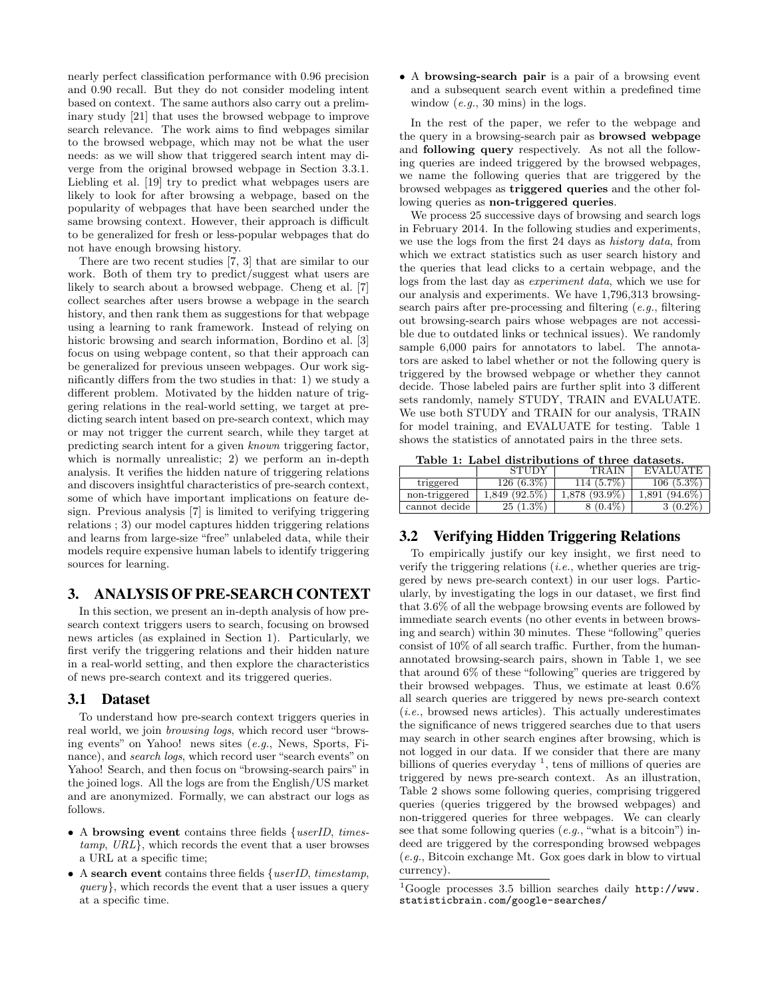nearly perfect classification performance with 0.96 precision and 0.90 recall. But they do not consider modeling intent based on context. The same authors also carry out a preliminary study [21] that uses the browsed webpage to improve search relevance. The work aims to find webpages similar to the browsed webpage, which may not be what the user needs: as we will show that triggered search intent may diverge from the original browsed webpage in Section 3.3.1. Liebling et al. [19] try to predict what webpages users are likely to look for after browsing a webpage, based on the popularity of webpages that have been searched under the same browsing context. However, their approach is difficult to be generalized for fresh or less-popular webpages that do not have enough browsing history.

There are two recent studies [7, 3] that are similar to our work. Both of them try to predict/suggest what users are likely to search about a browsed webpage. Cheng et al. [7] collect searches after users browse a webpage in the search history, and then rank them as suggestions for that webpage using a learning to rank framework. Instead of relying on historic browsing and search information, Bordino et al. [3] focus on using webpage content, so that their approach can be generalized for previous unseen webpages. Our work significantly differs from the two studies in that: 1) we study a different problem. Motivated by the hidden nature of triggering relations in the real-world setting, we target at predicting search intent based on pre-search context, which may or may not trigger the current search, while they target at predicting search intent for a given known triggering factor, which is normally unrealistic; 2) we perform an in-depth analysis. It verifies the hidden nature of triggering relations and discovers insightful characteristics of pre-search context, some of which have important implications on feature design. Previous analysis [7] is limited to verifying triggering relations ; 3) our model captures hidden triggering relations and learns from large-size "free" unlabeled data, while their models require expensive human labels to identify triggering sources for learning.

# 3. ANALYSIS OF PRE-SEARCH CONTEXT

In this section, we present an in-depth analysis of how presearch context triggers users to search, focusing on browsed news articles (as explained in Section 1). Particularly, we first verify the triggering relations and their hidden nature in a real-world setting, and then explore the characteristics of news pre-search context and its triggered queries.

## 3.1 Dataset

To understand how pre-search context triggers queries in real world, we join *browsing logs*, which record user "browsing events" on Yahoo! news sites (e.g., News, Sports, Finance), and search logs, which record user "search events" on Yahoo! Search, and then focus on "browsing-search pairs" in the joined logs. All the logs are from the English/US market and are anonymized. Formally, we can abstract our logs as follows.

- A browsing event contains three fields {userID, timestamp, URL}, which records the event that a user browses a URL at a specific time;
- A search event contains three fields  $\{userID, timestamp,$  $query$ , which records the event that a user issues a query at a specific time.

• A browsing-search pair is a pair of a browsing event and a subsequent search event within a predefined time window  $(e.q., 30 \text{ mins})$  in the logs.

In the rest of the paper, we refer to the webpage and the query in a browsing-search pair as browsed webpage and following query respectively. As not all the following queries are indeed triggered by the browsed webpages, we name the following queries that are triggered by the browsed webpages as triggered queries and the other following queries as non-triggered queries.

We process 25 successive days of browsing and search logs in February 2014. In the following studies and experiments, we use the logs from the first 24 days as history data, from which we extract statistics such as user search history and the queries that lead clicks to a certain webpage, and the logs from the last day as experiment data, which we use for our analysis and experiments. We have 1,796,313 browsingsearch pairs after pre-processing and filtering (e.g., filtering out browsing-search pairs whose webpages are not accessible due to outdated links or technical issues). We randomly sample 6,000 pairs for annotators to label. The annotators are asked to label whether or not the following query is triggered by the browsed webpage or whether they cannot decide. Those labeled pairs are further split into 3 different sets randomly, namely STUDY, TRAIN and EVALUATE. We use both STUDY and TRAIN for our analysis, TRAIN for model training, and EVALUATE for testing. Table 1 shows the statistics of annotated pairs in the three sets.

|  |                                 |  | Table 1: Label distributions of three datasets. |
|--|---------------------------------|--|-------------------------------------------------|
|  | $C$ $T$ $T$ $T$ $T$ $T$ $T$ $T$ |  | $MDATM$ $INT 1$                                 |

|               | <b>STUDY</b>    | <b>TRAIN</b>    | <b>EVALUATE</b> |
|---------------|-----------------|-----------------|-----------------|
| triggered     | $126(6.3\%)$    | 114 (5.7\%)     | $106(5.3\%)$    |
| non-triggered | $1.849(92.5\%)$ | $1.878(93.9\%)$ | $1.891(94.6\%)$ |
| cannot decide | $25(1.3\%)$     | $8(0.4\%)$      | $3(0.2\%$       |

# 3.2 Verifying Hidden Triggering Relations

To empirically justify our key insight, we first need to verify the triggering relations (i.e., whether queries are triggered by news pre-search context) in our user logs. Particularly, by investigating the logs in our dataset, we first find that 3.6% of all the webpage browsing events are followed by immediate search events (no other events in between browsing and search) within 30 minutes. These "following" queries consist of 10% of all search traffic. Further, from the humanannotated browsing-search pairs, shown in Table 1, we see that around 6% of these "following" queries are triggered by their browsed webpages. Thus, we estimate at least 0.6% all search queries are triggered by news pre-search context  $(i.e.,$  browsed news articles). This actually underestimates the significance of news triggered searches due to that users may search in other search engines after browsing, which is not logged in our data. If we consider that there are many billions of queries everyday<sup>1</sup>, tens of millions of queries are triggered by news pre-search context. As an illustration, Table 2 shows some following queries, comprising triggered queries (queries triggered by the browsed webpages) and non-triggered queries for three webpages. We can clearly see that some following queries  $(e.g., "what is a bitcoin")$  indeed are triggered by the corresponding browsed webpages (e.g., Bitcoin exchange Mt. Gox goes dark in blow to virtual currency).

<sup>&</sup>lt;sup>1</sup>Google processes 3.5 billion searches daily  $http://www.$ statisticbrain.com/google-searches/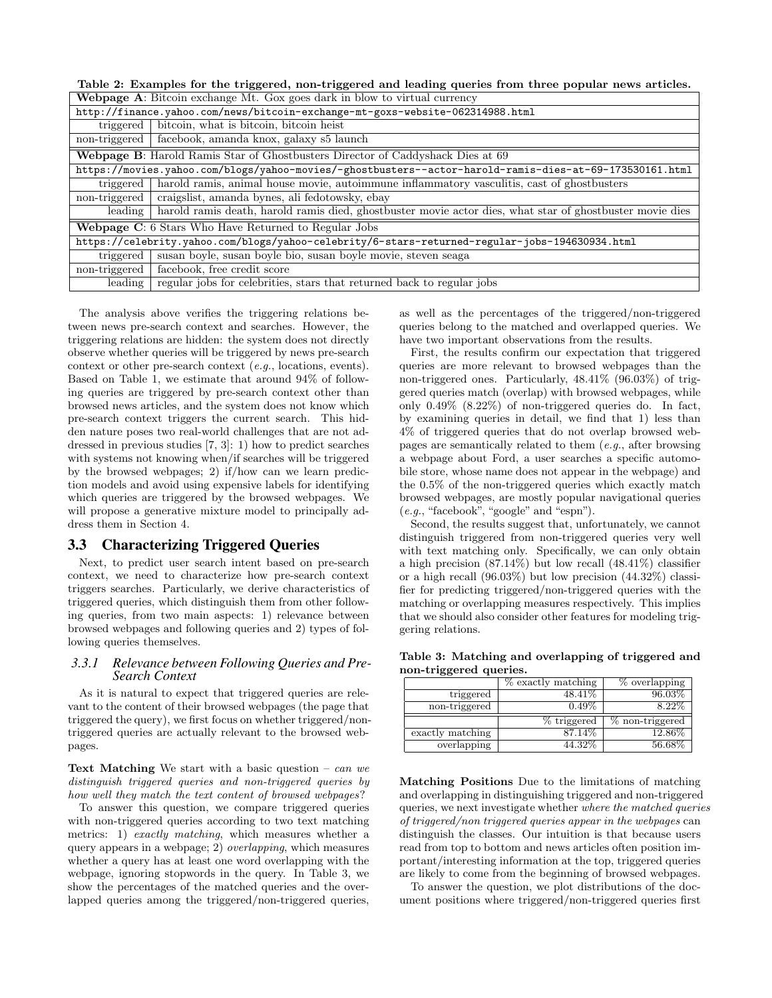Table 2: Examples for the triggered, non-triggered and leading queries from three popular news articles.

|               | <b>Webpage A:</b> Bitcoin exchange Mt. Gox goes dark in blow to virtual currency                         |  |  |  |  |  |
|---------------|----------------------------------------------------------------------------------------------------------|--|--|--|--|--|
|               | http://finance.yahoo.com/news/bitcoin-exchange-mt-goxs-website-062314988.html                            |  |  |  |  |  |
| triggered     | bitcoin, what is bitcoin, bitcoin heist                                                                  |  |  |  |  |  |
| non-triggered | facebook, amanda knox, galaxy s5 launch                                                                  |  |  |  |  |  |
|               | Webpage B: Harold Ramis Star of Ghostbusters Director of Caddyshack Dies at 69                           |  |  |  |  |  |
|               | https://movies.yahoo.com/blogs/yahoo-movies/-ghostbusters--actor-harold-ramis-dies-at-69-173530161.html  |  |  |  |  |  |
| triggered     | harold ramis, animal house movie, autoimmune inflammatory vasculitis, cast of ghostbusters               |  |  |  |  |  |
| non-triggered | craigslist, amanda bynes, ali fedotowsky, ebay                                                           |  |  |  |  |  |
| leading       | harold ramis death, harold ramis died, ghostbuster movie actor dies, what star of ghostbuster movie dies |  |  |  |  |  |
|               | Webpage C: 6 Stars Who Have Returned to Regular Jobs                                                     |  |  |  |  |  |
|               | https://celebrity.yahoo.com/blogs/yahoo-celebrity/6-stars-returned-regular-jobs-194630934.html           |  |  |  |  |  |
| triggered     | susan boyle, susan boyle bio, susan boyle movie, steven seaga                                            |  |  |  |  |  |
| non-triggered | facebook, free credit score                                                                              |  |  |  |  |  |
| leading       | regular jobs for celebrities, stars that returned back to regular jobs                                   |  |  |  |  |  |

The analysis above verifies the triggering relations between news pre-search context and searches. However, the triggering relations are hidden: the system does not directly observe whether queries will be triggered by news pre-search context or other pre-search context (e.g., locations, events). Based on Table 1, we estimate that around 94% of following queries are triggered by pre-search context other than browsed news articles, and the system does not know which pre-search context triggers the current search. This hidden nature poses two real-world challenges that are not addressed in previous studies [7, 3]: 1) how to predict searches with systems not knowing when/if searches will be triggered by the browsed webpages; 2) if/how can we learn prediction models and avoid using expensive labels for identifying which queries are triggered by the browsed webpages. We will propose a generative mixture model to principally address them in Section 4.

## 3.3 Characterizing Triggered Queries

Next, to predict user search intent based on pre-search context, we need to characterize how pre-search context triggers searches. Particularly, we derive characteristics of triggered queries, which distinguish them from other following queries, from two main aspects: 1) relevance between browsed webpages and following queries and 2) types of following queries themselves.

## *3.3.1 Relevance between Following Queries and Pre-Search Context*

As it is natural to expect that triggered queries are relevant to the content of their browsed webpages (the page that triggered the query), we first focus on whether triggered/nontriggered queries are actually relevant to the browsed webpages.

**Text Matching** We start with a basic question – can we distinguish triggered queries and non-triggered queries by how well they match the text content of browsed webpages?

To answer this question, we compare triggered queries with non-triggered queries according to two text matching metrics: 1) exactly matching, which measures whether a query appears in a webpage; 2) overlapping, which measures whether a query has at least one word overlapping with the webpage, ignoring stopwords in the query. In Table 3, we show the percentages of the matched queries and the overlapped queries among the triggered/non-triggered queries,

as well as the percentages of the triggered/non-triggered queries belong to the matched and overlapped queries. We have two important observations from the results.

First, the results confirm our expectation that triggered queries are more relevant to browsed webpages than the non-triggered ones. Particularly, 48.41% (96.03%) of triggered queries match (overlap) with browsed webpages, while only 0.49% (8.22%) of non-triggered queries do. In fact, by examining queries in detail, we find that 1) less than 4% of triggered queries that do not overlap browsed webpages are semantically related to them (e.g., after browsing a webpage about Ford, a user searches a specific automobile store, whose name does not appear in the webpage) and the 0.5% of the non-triggered queries which exactly match browsed webpages, are mostly popular navigational queries (e.g., "facebook", "google" and "espn").

Second, the results suggest that, unfortunately, we cannot distinguish triggered from non-triggered queries very well with text matching only. Specifically, we can only obtain a high precision (87.14%) but low recall (48.41%) classifier or a high recall (96.03%) but low precision (44.32%) classifier for predicting triggered/non-triggered queries with the matching or overlapping measures respectively. This implies that we should also consider other features for modeling triggering relations.

Table 3: Matching and overlapping of triggered and non-triggered queries.

|                  | % exactly matching | $\%$ overlapping |
|------------------|--------------------|------------------|
| triggered        | 48.41\%            | $96.03\%$        |
| non-triggered    | $0.49\%$           | $8.22\%$         |
|                  |                    |                  |
|                  | % triggered        | % non-triggered  |
| exactly matching | 87.14%             | $12.86\%$        |

Matching Positions Due to the limitations of matching and overlapping in distinguishing triggered and non-triggered queries, we next investigate whether where the matched queries of triggered/non triggered queries appear in the webpages can distinguish the classes. Our intuition is that because users read from top to bottom and news articles often position important/interesting information at the top, triggered queries are likely to come from the beginning of browsed webpages.

To answer the question, we plot distributions of the document positions where triggered/non-triggered queries first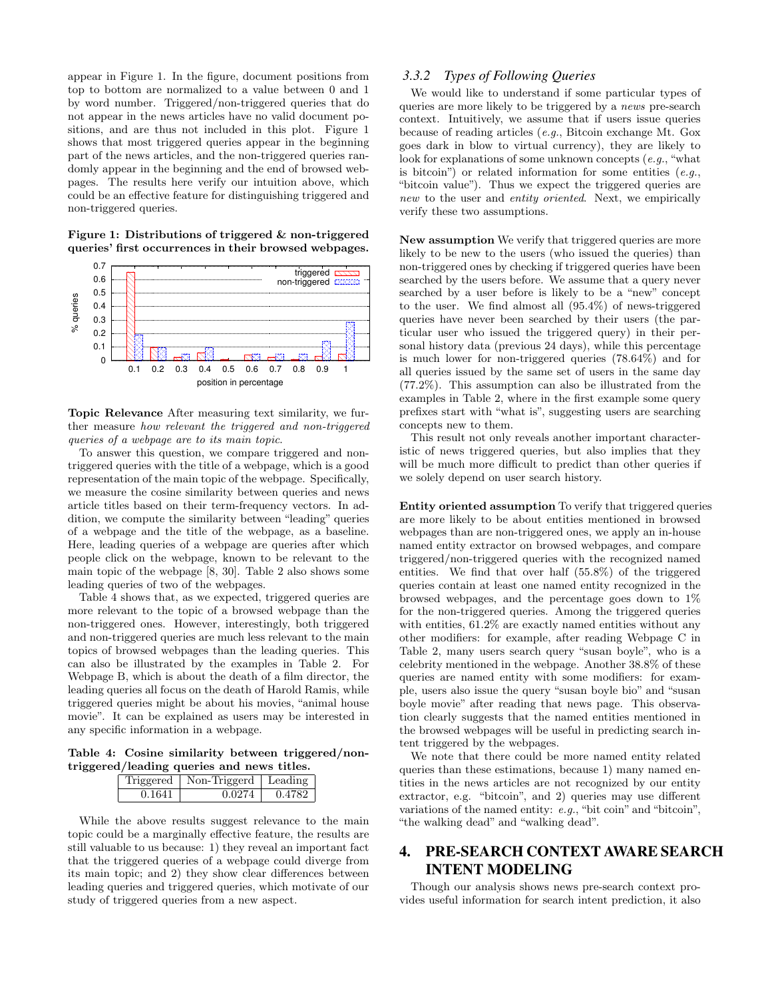appear in Figure 1. In the figure, document positions from top to bottom are normalized to a value between 0 and 1 by word number. Triggered/non-triggered queries that do not appear in the news articles have no valid document positions, and are thus not included in this plot. Figure 1 shows that most triggered queries appear in the beginning part of the news articles, and the non-triggered queries randomly appear in the beginning and the end of browsed webpages. The results here verify our intuition above, which could be an effective feature for distinguishing triggered and non-triggered queries.

Figure 1: Distributions of triggered & non-triggered queries' first occurrences in their browsed webpages.



Topic Relevance After measuring text similarity, we further measure how relevant the triggered and non-triggered queries of a webpage are to its main topic.

To answer this question, we compare triggered and nontriggered queries with the title of a webpage, which is a good representation of the main topic of the webpage. Specifically, we measure the cosine similarity between queries and news article titles based on their term-frequency vectors. In addition, we compute the similarity between "leading" queries of a webpage and the title of the webpage, as a baseline. Here, leading queries of a webpage are queries after which people click on the webpage, known to be relevant to the main topic of the webpage [8, 30]. Table 2 also shows some leading queries of two of the webpages.

Table 4 shows that, as we expected, triggered queries are more relevant to the topic of a browsed webpage than the non-triggered ones. However, interestingly, both triggered and non-triggered queries are much less relevant to the main topics of browsed webpages than the leading queries. This can also be illustrated by the examples in Table 2. For Webpage B, which is about the death of a film director, the leading queries all focus on the death of Harold Ramis, while triggered queries might be about his movies, "animal house movie". It can be explained as users may be interested in any specific information in a webpage.

Table 4: Cosine similarity between triggered/nontriggered/leading queries and news titles.

|        | riggered   Non-Triggerd | Leading |
|--------|-------------------------|---------|
| በ 1641 | በ በ274                  | 0.4782  |

While the above results suggest relevance to the main topic could be a marginally effective feature, the results are still valuable to us because: 1) they reveal an important fact that the triggered queries of a webpage could diverge from its main topic; and 2) they show clear differences between leading queries and triggered queries, which motivate of our study of triggered queries from a new aspect.

#### *3.3.2 Types of Following Queries*

We would like to understand if some particular types of queries are more likely to be triggered by a news pre-search context. Intuitively, we assume that if users issue queries because of reading articles (e.g., Bitcoin exchange Mt. Gox goes dark in blow to virtual currency), they are likely to look for explanations of some unknown concepts (e.g., "what is bitcoin") or related information for some entities  $(e.g.,)$ "bitcoin value"). Thus we expect the triggered queries are new to the user and entity oriented. Next, we empirically verify these two assumptions.

New assumption We verify that triggered queries are more likely to be new to the users (who issued the queries) than non-triggered ones by checking if triggered queries have been searched by the users before. We assume that a query never searched by a user before is likely to be a "new" concept to the user. We find almost all (95.4%) of news-triggered queries have never been searched by their users (the particular user who issued the triggered query) in their personal history data (previous 24 days), while this percentage is much lower for non-triggered queries (78.64%) and for all queries issued by the same set of users in the same day (77.2%). This assumption can also be illustrated from the examples in Table 2, where in the first example some query prefixes start with "what is", suggesting users are searching concepts new to them.

This result not only reveals another important characteristic of news triggered queries, but also implies that they will be much more difficult to predict than other queries if we solely depend on user search history.

Entity oriented assumption To verify that triggered queries are more likely to be about entities mentioned in browsed webpages than are non-triggered ones, we apply an in-house named entity extractor on browsed webpages, and compare triggered/non-triggered queries with the recognized named entities. We find that over half (55.8%) of the triggered queries contain at least one named entity recognized in the browsed webpages, and the percentage goes down to 1% for the non-triggered queries. Among the triggered queries with entities, 61.2% are exactly named entities without any other modifiers: for example, after reading Webpage C in Table 2, many users search query "susan boyle", who is a celebrity mentioned in the webpage. Another 38.8% of these queries are named entity with some modifiers: for example, users also issue the query "susan boyle bio" and "susan boyle movie" after reading that news page. This observation clearly suggests that the named entities mentioned in the browsed webpages will be useful in predicting search intent triggered by the webpages.

We note that there could be more named entity related queries than these estimations, because 1) many named entities in the news articles are not recognized by our entity extractor, e.g. "bitcoin", and 2) queries may use different variations of the named entity: e.g., "bit coin" and "bitcoin", "the walking dead" and "walking dead".

# 4. PRE-SEARCH CONTEXT AWARE SEARCH INTENT MODELING

Though our analysis shows news pre-search context provides useful information for search intent prediction, it also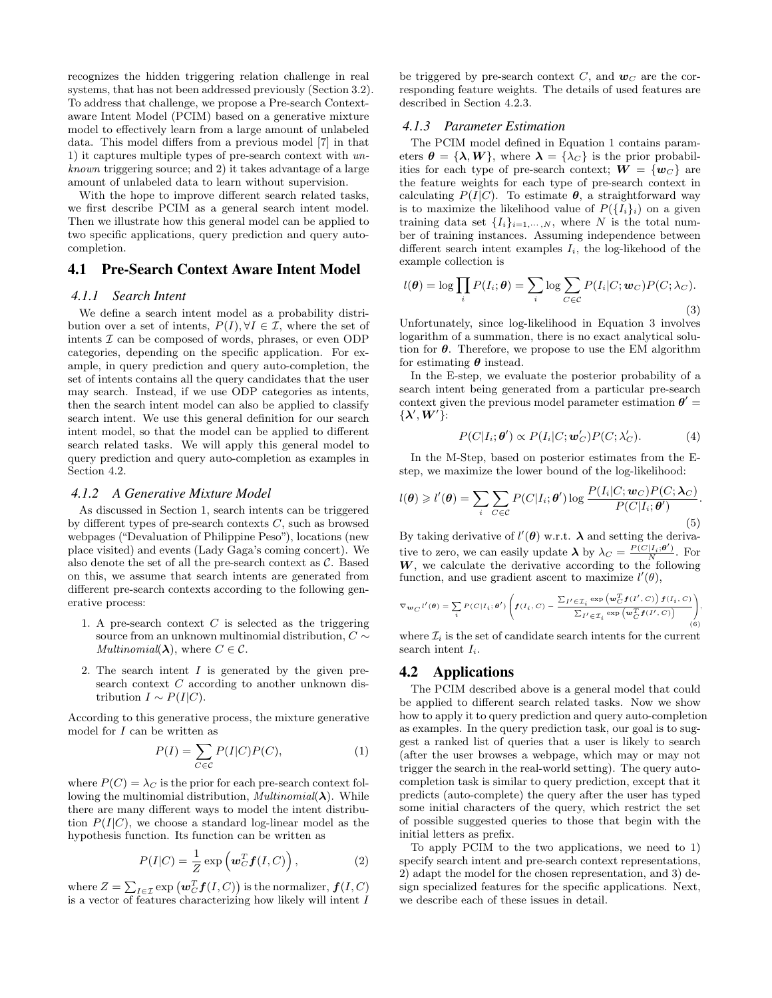recognizes the hidden triggering relation challenge in real systems, that has not been addressed previously (Section 3.2). To address that challenge, we propose a Pre-search Contextaware Intent Model (PCIM) based on a generative mixture model to effectively learn from a large amount of unlabeled data. This model differs from a previous model [7] in that 1) it captures multiple types of pre-search context with unknown triggering source; and 2) it takes advantage of a large amount of unlabeled data to learn without supervision.

With the hope to improve different search related tasks, we first describe PCIM as a general search intent model. Then we illustrate how this general model can be applied to two specific applications, query prediction and query autocompletion.

## 4.1 Pre-Search Context Aware Intent Model

#### *4.1.1 Search Intent*

We define a search intent model as a probability distribution over a set of intents,  $P(I), \forall I \in \mathcal{I}$ , where the set of intents  $\mathcal I$  can be composed of words, phrases, or even ODP categories, depending on the specific application. For example, in query prediction and query auto-completion, the set of intents contains all the query candidates that the user may search. Instead, if we use ODP categories as intents, then the search intent model can also be applied to classify search intent. We use this general definition for our search intent model, so that the model can be applied to different search related tasks. We will apply this general model to query prediction and query auto-completion as examples in Section 4.2.

#### *4.1.2 A Generative Mixture Model*

As discussed in Section 1, search intents can be triggered by different types of pre-search contexts  $C$ , such as browsed webpages ("Devaluation of Philippine Peso"), locations (new place visited) and events (Lady Gaga's coming concert). We also denote the set of all the pre-search context as  $C$ . Based on this, we assume that search intents are generated from different pre-search contexts according to the following generative process:

- 1. A pre-search context  $C$  is selected as the triggering source from an unknown multinomial distribution,  $C \sim$ *Multinomial*( $\lambda$ ), where  $C \in \mathcal{C}$ .
- 2. The search intent  $I$  is generated by the given presearch context  $C$  according to another unknown distribution  $I \sim P(I|C)$ .

According to this generative process, the mixture generative model for  $I$  can be written as

$$
P(I) = \sum_{C \in \mathcal{C}} P(I|C)P(C),\tag{1}
$$

where  $P(C) = \lambda_C$  is the prior for each pre-search context following the multinomial distribution,  $Multinomial(\lambda)$ . While there are many different ways to model the intent distribution  $P(I|C)$ , we choose a standard log-linear model as the hypothesis function. Its function can be written as

$$
P(I|C) = \frac{1}{Z} \exp\left(\mathbf{w}_C^T \mathbf{f}(I,C)\right),\tag{2}
$$

where  $Z = \sum_{I \in \mathcal{I}} \exp \left(\bm{w}_C^T \bm{f}(I,C)\right)$  is the normalizer,  $\bm{f}(I,C)$ is a vector of features characterizing how likely will intent  $\hat{I}$ 

be triggered by pre-search context C, and  $w_C$  are the corresponding feature weights. The details of used features are described in Section 4.2.3.

#### *4.1.3 Parameter Estimation*

The PCIM model defined in Equation 1 contains parameters  $\boldsymbol{\theta} = {\boldsymbol{\lambda}, \boldsymbol{W}}$ , where  $\boldsymbol{\lambda} = {\lambda_C}$  is the prior probabilities for each type of pre-search context;  $W = \{w_C\}$  are the feature weights for each type of pre-search context in calculating  $P(I|C)$ . To estimate  $\theta$ , a straightforward way is to maximize the likelihood value of  $P({I_i}_i)$  on a given training data set  $\{I_i\}_{i=1,\dots,N}$ , where N is the total number of training instances. Assuming independence between different search intent examples  $I_i$ , the log-likehood of the example collection is

$$
l(\boldsymbol{\theta}) = \log \prod_{i} P(I_i; \boldsymbol{\theta}) = \sum_{i} \log \sum_{C \in \mathcal{C}} P(I_i | C; \boldsymbol{w}_C) P(C; \lambda_C).
$$
\n(3)

Unfortunately, since log-likelihood in Equation 3 involves logarithm of a summation, there is no exact analytical solution for  $\theta$ . Therefore, we propose to use the EM algorithm for estimating  $\theta$  instead.

In the E-step, we evaluate the posterior probability of a search intent being generated from a particular pre-search context given the previous model parameter estimation  $\theta' =$  $\{\lambda',\boldsymbol{W}'\}$ :

$$
P(C|I_i; \theta') \propto P(I_i|C; \mathbf{w}'_C)P(C; \lambda'_C). \tag{4}
$$

In the M-Step, based on posterior estimates from the Estep, we maximize the lower bound of the log-likelihood:

$$
l(\boldsymbol{\theta}) \geq l'(\boldsymbol{\theta}) = \sum_{i} \sum_{C \in \mathcal{C}} P(C|I_i; \boldsymbol{\theta}') \log \frac{P(I_i|C; \boldsymbol{w}_C) P(C; \boldsymbol{\lambda}_C)}{P(C|I_i; \boldsymbol{\theta}')}.
$$
\n(5)

By taking derivative of  $l'(\theta)$  w.r.t.  $\lambda$  and setting the derivative to zero, we can easily update  $\lambda$  by  $\lambda_C = \frac{P(C|I_i;\theta')}{N}$ . For  $W$ , we calculate the derivative according to the following function, and use gradient ascent to maximize  $l'(\theta)$ ,

$$
\nabla_{\mathbf{w}_C} t'(\theta) = \sum_i P(C|I_i; \theta') \left( \mathbf{f}(I_i, C) - \frac{\sum_{I' \in \mathcal{I}_i} \exp\left(\mathbf{w}_C^T \mathbf{f}(I', C)\right) \mathbf{f}(I_i, C)}{\sum_{I' \in \mathcal{I}_i} \exp\left(\mathbf{w}_C^T \mathbf{f}(I', C)\right)} \right),
$$
(6)

where  $\mathcal{I}_i$  is the set of candidate search intents for the current search intent  $I_i$ .

# 4.2 Applications

The PCIM described above is a general model that could be applied to different search related tasks. Now we show how to apply it to query prediction and query auto-completion as examples. In the query prediction task, our goal is to suggest a ranked list of queries that a user is likely to search (after the user browses a webpage, which may or may not trigger the search in the real-world setting). The query autocompletion task is similar to query prediction, except that it predicts (auto-complete) the query after the user has typed some initial characters of the query, which restrict the set of possible suggested queries to those that begin with the initial letters as prefix.

To apply PCIM to the two applications, we need to 1) specify search intent and pre-search context representations, 2) adapt the model for the chosen representation, and 3) design specialized features for the specific applications. Next, we describe each of these issues in detail.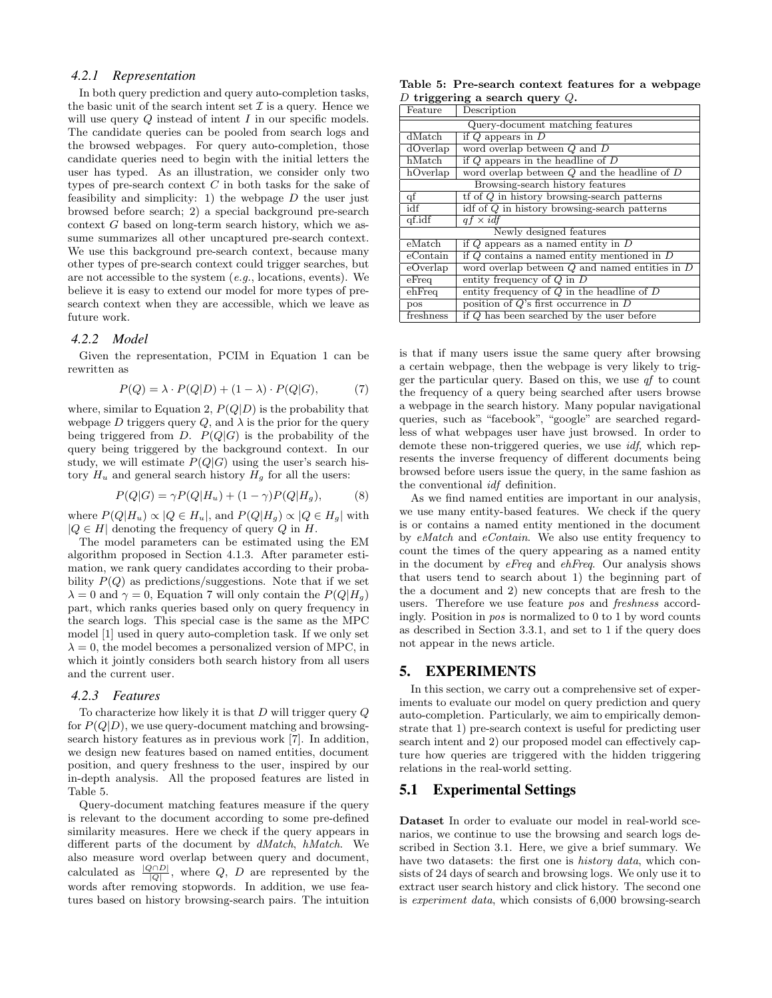#### *4.2.1 Representation*

In both query prediction and query auto-completion tasks, the basic unit of the search intent set  $\mathcal I$  is a query. Hence we will use query  $Q$  instead of intent  $I$  in our specific models. The candidate queries can be pooled from search logs and the browsed webpages. For query auto-completion, those candidate queries need to begin with the initial letters the user has typed. As an illustration, we consider only two types of pre-search context  $C$  in both tasks for the sake of feasibility and simplicity: 1) the webpage  $D$  the user just browsed before search; 2) a special background pre-search context G based on long-term search history, which we assume summarizes all other uncaptured pre-search context. We use this background pre-search context, because many other types of pre-search context could trigger searches, but are not accessible to the system  $(e.g., locations, events)$ . We believe it is easy to extend our model for more types of presearch context when they are accessible, which we leave as future work.

#### *4.2.2 Model*

Given the representation, PCIM in Equation 1 can be rewritten as

$$
P(Q) = \lambda \cdot P(Q|D) + (1 - \lambda) \cdot P(Q|G), \tag{7}
$$

where, similar to Equation 2,  $P(Q|D)$  is the probability that webpage D triggers query  $Q$ , and  $\lambda$  is the prior for the query being triggered from D.  $P(Q|G)$  is the probability of the query being triggered by the background context. In our study, we will estimate  $P(Q|G)$  using the user's search history  $H_u$  and general search history  $H_g$  for all the users:

$$
P(Q|G) = \gamma P(Q|H_u) + (1 - \gamma)P(Q|H_g),\tag{8}
$$

where  $P(Q|H_u) \propto |Q \in H_u|$ , and  $P(Q|H_q) \propto |Q \in H_q|$  with  $|Q \in H|$  denoting the frequency of query Q in H.

The model parameters can be estimated using the EM algorithm proposed in Section 4.1.3. After parameter estimation, we rank query candidates according to their probability  $P(Q)$  as predictions/suggestions. Note that if we set  $\lambda = 0$  and  $\gamma = 0$ , Equation 7 will only contain the  $P(Q|H_q)$ part, which ranks queries based only on query frequency in the search logs. This special case is the same as the MPC model [1] used in query auto-completion task. If we only set  $\lambda = 0$ , the model becomes a personalized version of MPC, in which it jointly considers both search history from all users and the current user.

#### *4.2.3 Features*

To characterize how likely it is that  $D$  will trigger query  $Q$ for  $P(Q|D)$ , we use query-document matching and browsingsearch history features as in previous work [7]. In addition, we design new features based on named entities, document position, and query freshness to the user, inspired by our in-depth analysis. All the proposed features are listed in Table 5.

Query-document matching features measure if the query is relevant to the document according to some pre-defined similarity measures. Here we check if the query appears in different parts of the document by dMatch, hMatch. We also measure word overlap between query and document, calculated as  $\frac{|Q \cap D|}{|Q|}$ , where Q, D are represented by the words after removing stopwords. In addition, we use features based on history browsing-search pairs. The intuition

Table 5: Pre-search context features for a webpage D triggering a search query  $Q$ .

| Feature                 | Description                                        |  |  |  |  |  |
|-------------------------|----------------------------------------------------|--|--|--|--|--|
|                         | Query-document matching features                   |  |  |  |  |  |
| dMatch                  | if $Q$ appears in $D$                              |  |  |  |  |  |
| dOverlap                | word overlap between $Q$ and $D$                   |  |  |  |  |  |
| hMatch                  | if $Q$ appears in the headline of $D$              |  |  |  |  |  |
| hOverlap                | word overlap between $Q$ and the headline of $D$   |  |  |  |  |  |
|                         | Browsing-search history features                   |  |  |  |  |  |
| qf                      | $t f$ of $Q$ in history browsing-search patterns   |  |  |  |  |  |
| idf                     | idf of $Q$ in history browsing-search patterns     |  |  |  |  |  |
| qf.idf                  | $af \times idf$                                    |  |  |  |  |  |
| Newly designed features |                                                    |  |  |  |  |  |
| eMatch                  | if $Q$ appears as a named entity in $D$            |  |  |  |  |  |
| $e$ Contain             | if $Q$ contains a named entity mentioned in $D$    |  |  |  |  |  |
| eOverlap                | word overlap between $Q$ and named entities in $D$ |  |  |  |  |  |
| $e$ Freq                | entity frequency of $Q$ in $D$                     |  |  |  |  |  |
| $e$ hFreq               | entity frequency of $Q$ in the headline of $D$     |  |  |  |  |  |
| pos                     | position of $Q$ 's first occurrence in $D$         |  |  |  |  |  |
| freshness               | if Q has been searched by the user before          |  |  |  |  |  |

is that if many users issue the same query after browsing a certain webpage, then the webpage is very likely to trigger the particular query. Based on this, we use  $qf$  to count the frequency of a query being searched after users browse a webpage in the search history. Many popular navigational queries, such as "facebook", "google" are searched regardless of what webpages user have just browsed. In order to demote these non-triggered queries, we use idf, which represents the inverse frequency of different documents being browsed before users issue the query, in the same fashion as the conventional idf definition.

As we find named entities are important in our analysis, we use many entity-based features. We check if the query is or contains a named entity mentioned in the document by eMatch and eContain. We also use entity frequency to count the times of the query appearing as a named entity in the document by eFreq and ehFreq. Our analysis shows that users tend to search about 1) the beginning part of the a document and 2) new concepts that are fresh to the users. Therefore we use feature pos and freshness accordingly. Position in pos is normalized to 0 to 1 by word counts as described in Section 3.3.1, and set to 1 if the query does not appear in the news article.

## 5. EXPERIMENTS

In this section, we carry out a comprehensive set of experiments to evaluate our model on query prediction and query auto-completion. Particularly, we aim to empirically demonstrate that 1) pre-search context is useful for predicting user search intent and 2) our proposed model can effectively capture how queries are triggered with the hidden triggering relations in the real-world setting.

## 5.1 Experimental Settings

Dataset In order to evaluate our model in real-world scenarios, we continue to use the browsing and search logs described in Section 3.1. Here, we give a brief summary. We have two datasets: the first one is *history data*, which consists of 24 days of search and browsing logs. We only use it to extract user search history and click history. The second one is experiment data, which consists of 6,000 browsing-search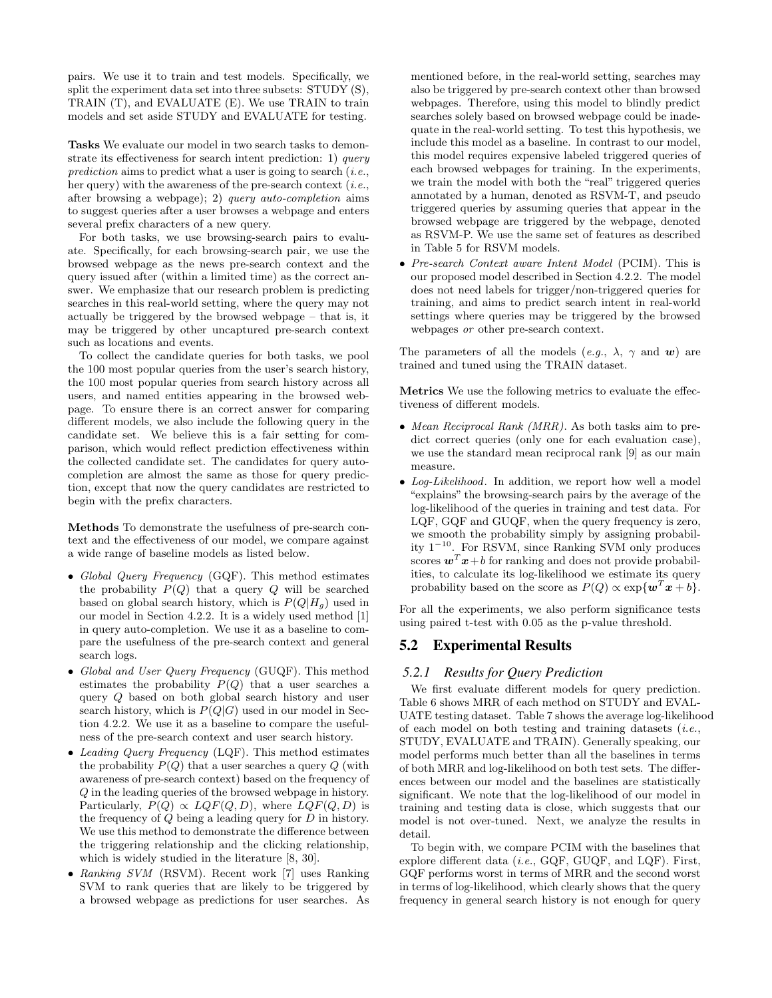pairs. We use it to train and test models. Specifically, we split the experiment data set into three subsets: STUDY (S), TRAIN (T), and EVALUATE (E). We use TRAIN to train models and set aside STUDY and EVALUATE for testing.

Tasks We evaluate our model in two search tasks to demonstrate its effectiveness for search intent prediction: 1) query prediction aims to predict what a user is going to search  $(i.e.,$ her query) with the awareness of the pre-search context  $(i.e.,$ after browsing a webpage); 2) query auto-completion aims to suggest queries after a user browses a webpage and enters several prefix characters of a new query.

For both tasks, we use browsing-search pairs to evaluate. Specifically, for each browsing-search pair, we use the browsed webpage as the news pre-search context and the query issued after (within a limited time) as the correct answer. We emphasize that our research problem is predicting searches in this real-world setting, where the query may not actually be triggered by the browsed webpage – that is, it may be triggered by other uncaptured pre-search context such as locations and events.

To collect the candidate queries for both tasks, we pool the 100 most popular queries from the user's search history, the 100 most popular queries from search history across all users, and named entities appearing in the browsed webpage. To ensure there is an correct answer for comparing different models, we also include the following query in the candidate set. We believe this is a fair setting for comparison, which would reflect prediction effectiveness within the collected candidate set. The candidates for query autocompletion are almost the same as those for query prediction, except that now the query candidates are restricted to begin with the prefix characters.

Methods To demonstrate the usefulness of pre-search context and the effectiveness of our model, we compare against a wide range of baseline models as listed below.

- Global Query Frequency (GQF). This method estimates the probability  $P(Q)$  that a query  $Q$  will be searched based on global search history, which is  $P(Q|H<sub>g</sub>)$  used in our model in Section 4.2.2. It is a widely used method [1] in query auto-completion. We use it as a baseline to compare the usefulness of the pre-search context and general search logs.
- Global and User Query Frequency (GUQF). This method estimates the probability  $P(Q)$  that a user searches a query Q based on both global search history and user search history, which is  $P(Q|G)$  used in our model in Section 4.2.2. We use it as a baseline to compare the usefulness of the pre-search context and user search history.
- Leading Query Frequency (LQF). This method estimates the probability  $P(Q)$  that a user searches a query Q (with awareness of pre-search context) based on the frequency of Q in the leading queries of the browsed webpage in history. Particularly,  $P(Q) \propto LQF(Q, D)$ , where  $LQF(Q, D)$  is the frequency of  $Q$  being a leading query for  $D$  in history. We use this method to demonstrate the difference between the triggering relationship and the clicking relationship, which is widely studied in the literature [8, 30].
- Ranking SVM (RSVM). Recent work [7] uses Ranking SVM to rank queries that are likely to be triggered by a browsed webpage as predictions for user searches. As

mentioned before, in the real-world setting, searches may also be triggered by pre-search context other than browsed webpages. Therefore, using this model to blindly predict searches solely based on browsed webpage could be inadequate in the real-world setting. To test this hypothesis, we include this model as a baseline. In contrast to our model, this model requires expensive labeled triggered queries of each browsed webpages for training. In the experiments, we train the model with both the "real" triggered queries annotated by a human, denoted as RSVM-T, and pseudo triggered queries by assuming queries that appear in the browsed webpage are triggered by the webpage, denoted as RSVM-P. We use the same set of features as described in Table 5 for RSVM models.

• Pre-search Context aware Intent Model (PCIM). This is our proposed model described in Section 4.2.2. The model does not need labels for trigger/non-triggered queries for training, and aims to predict search intent in real-world settings where queries may be triggered by the browsed webpages or other pre-search context.

The parameters of all the models  $(e.g., \lambda, \gamma \text{ and } \mathbf{w})$  are trained and tuned using the TRAIN dataset.

Metrics We use the following metrics to evaluate the effectiveness of different models.

- Mean Reciprocal Rank (MRR). As both tasks aim to predict correct queries (only one for each evaluation case), we use the standard mean reciprocal rank [9] as our main measure.
- Log-Likelihood. In addition, we report how well a model "explains" the browsing-search pairs by the average of the log-likelihood of the queries in training and test data. For LQF, GQF and GUQF, when the query frequency is zero, we smooth the probability simply by assigning probability 1<sup>−</sup><sup>10</sup>. For RSVM, since Ranking SVM only produces scores  $\mathbf{w}^T \mathbf{x} + b$  for ranking and does not provide probabilities, to calculate its log-likelihood we estimate its query probability based on the score as  $P(Q) \propto \exp\{\boldsymbol{w}^T\boldsymbol{x} + b\}.$

For all the experiments, we also perform significance tests using paired t-test with 0.05 as the p-value threshold.

# 5.2 Experimental Results

#### *5.2.1 Results for Query Prediction*

We first evaluate different models for query prediction. Table 6 shows MRR of each method on STUDY and EVAL-UATE testing dataset. Table 7 shows the average log-likelihood of each model on both testing and training datasets (i.e., STUDY, EVALUATE and TRAIN). Generally speaking, our model performs much better than all the baselines in terms of both MRR and log-likelihood on both test sets. The differences between our model and the baselines are statistically significant. We note that the log-likelihood of our model in training and testing data is close, which suggests that our model is not over-tuned. Next, we analyze the results in detail.

To begin with, we compare PCIM with the baselines that explore different data (*i.e.*, GQF, GUQF, and LQF). First, GQF performs worst in terms of MRR and the second worst in terms of log-likelihood, which clearly shows that the query frequency in general search history is not enough for query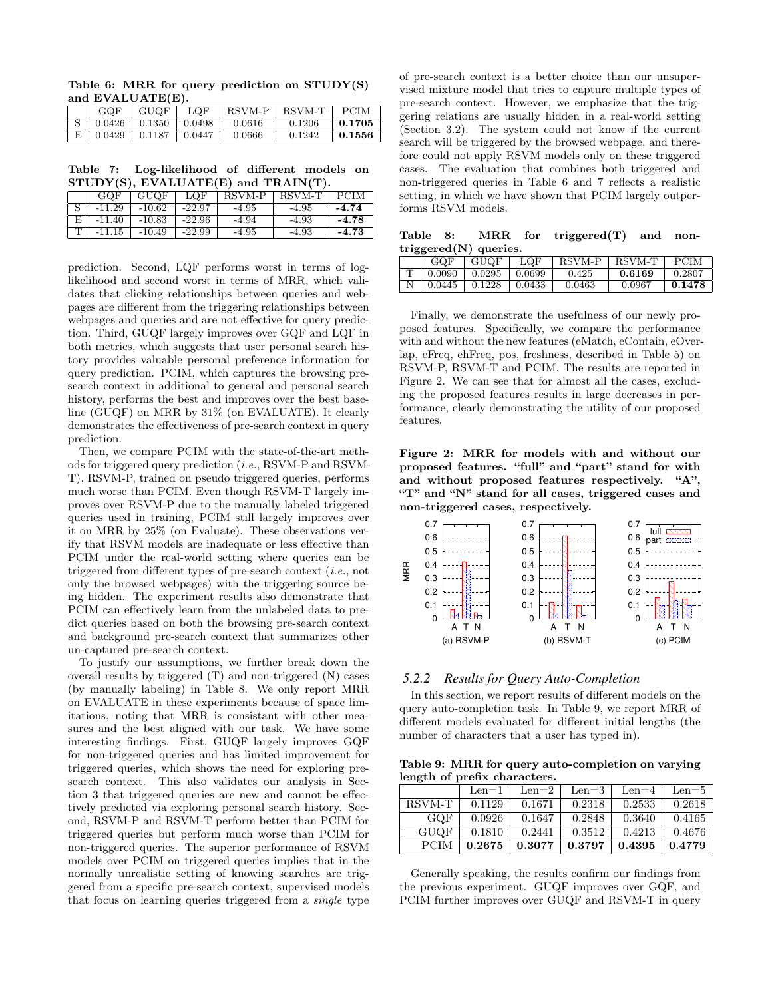Table 6: MRR for query prediction on STUDY(S) and EVALUATE(E).

| GOF    | GUQF              | LOF    | RSVM-P   RSVM-T |        | PCIM   |
|--------|-------------------|--------|-----------------|--------|--------|
|        | $0.0426$   0.1350 | 0.0498 | 0.0616          | 0.1206 | 0.1705 |
| 0.0429 | 10.1187           | 0.0447 | 0.0666          | 0.1242 | 0.1556 |

Table 7: Log-likelihood of different models on  $STUDY(S)$ , EVALUATE $(E)$  and TRAIN $(T)$ .

|    | GOF      | <b>GUQF</b> | LOF      | RSVM-P  | RSVM-T  | <b>PCIM</b> |
|----|----------|-------------|----------|---------|---------|-------------|
|    | $-11.29$ | $-10.62$    | $-22.97$ | $-4.95$ | $-4.95$ | $-4.74$     |
| E. | -11.40   | $-10.83$    | $-22.96$ | -4.94   | -4.93   | $-4.78$     |
|    | $-11.15$ | $-10.49$    | $-22.99$ | -4.95   | -4.93   | $-4.73$     |

prediction. Second, LQF performs worst in terms of loglikelihood and second worst in terms of MRR, which validates that clicking relationships between queries and webpages are different from the triggering relationships between webpages and queries and are not effective for query prediction. Third, GUQF largely improves over GQF and LQF in both metrics, which suggests that user personal search history provides valuable personal preference information for query prediction. PCIM, which captures the browsing presearch context in additional to general and personal search history, performs the best and improves over the best baseline (GUQF) on MRR by 31% (on EVALUATE). It clearly demonstrates the effectiveness of pre-search context in query prediction.

Then, we compare PCIM with the state-of-the-art methods for triggered query prediction (i.e., RSVM-P and RSVM-T). RSVM-P, trained on pseudo triggered queries, performs much worse than PCIM. Even though RSVM-T largely improves over RSVM-P due to the manually labeled triggered queries used in training, PCIM still largely improves over it on MRR by 25% (on Evaluate). These observations verify that RSVM models are inadequate or less effective than PCIM under the real-world setting where queries can be triggered from different types of pre-search context (i.e., not only the browsed webpages) with the triggering source being hidden. The experiment results also demonstrate that PCIM can effectively learn from the unlabeled data to predict queries based on both the browsing pre-search context and background pre-search context that summarizes other un-captured pre-search context.

To justify our assumptions, we further break down the overall results by triggered (T) and non-triggered (N) cases (by manually labeling) in Table 8. We only report MRR on EVALUATE in these experiments because of space limitations, noting that MRR is consistant with other measures and the best aligned with our task. We have some interesting findings. First, GUQF largely improves GQF for non-triggered queries and has limited improvement for triggered queries, which shows the need for exploring presearch context. This also validates our analysis in Section 3 that triggered queries are new and cannot be effectively predicted via exploring personal search history. Second, RSVM-P and RSVM-T perform better than PCIM for triggered queries but perform much worse than PCIM for non-triggered queries. The superior performance of RSVM models over PCIM on triggered queries implies that in the normally unrealistic setting of knowing searches are triggered from a specific pre-search context, supervised models that focus on learning queries triggered from a single type of pre-search context is a better choice than our unsupervised mixture model that tries to capture multiple types of pre-search context. However, we emphasize that the triggering relations are usually hidden in a real-world setting (Section 3.2). The system could not know if the current search will be triggered by the browsed webpage, and therefore could not apply RSVM models only on these triggered cases. The evaluation that combines both triggered and non-triggered queries in Table 6 and 7 reflects a realistic setting, in which we have shown that PCIM largely outperforms RSVM models.

Table 8: MRR for triggered(T) and nontriggered(N) queries.

| GQF    | GUQF   | LOF    | RSVM-P | RSVM-T | PCIM   |
|--------|--------|--------|--------|--------|--------|
| 0.0090 | 0.0295 | 0.0699 | 0.425  | 0.6169 | 0.2807 |
| 0.0445 | 0.1228 | 0.0433 | 0.0463 | 0.0967 | 0.1478 |

Finally, we demonstrate the usefulness of our newly proposed features. Specifically, we compare the performance with and without the new features (eMatch, eContain, eOverlap, eFreq, ehFreq, pos, freshness, described in Table 5) on RSVM-P, RSVM-T and PCIM. The results are reported in Figure 2. We can see that for almost all the cases, excluding the proposed features results in large decreases in performance, clearly demonstrating the utility of our proposed features.

Figure 2: MRR for models with and without our proposed features. "full" and "part" stand for with and without proposed features respectively. "A", "T" and "N" stand for all cases, triggered cases and non-triggered cases, respectively.



#### *5.2.2 Results for Query Auto-Completion*

In this section, we report results of different models on the query auto-completion task. In Table 9, we report MRR of different models evaluated for different initial lengths (the number of characters that a user has typed in).

Table 9: MRR for query auto-completion on varying length of prefix characters.

|             | Len=1  | Len $=$ 2 | Len $=$ 3 | Len $=4$ | Len=5  |
|-------------|--------|-----------|-----------|----------|--------|
| RSVM-T      | 0.1129 | 0.1671    | 0.2318    | 0.2533   | 0.2618 |
| GOF         | 0.0926 | 0.1647    | 0.2848    | 0.3640   | 0.4165 |
| <b>GUQF</b> | 0.1810 | 0.2441    | 0.3512    | 0.4213   | 0.4676 |
| <b>PCIM</b> | 0.2675 | 0.3077    | 0.3797    | 0.4395   | 0.4779 |

Generally speaking, the results confirm our findings from the previous experiment. GUQF improves over GQF, and PCIM further improves over GUQF and RSVM-T in query